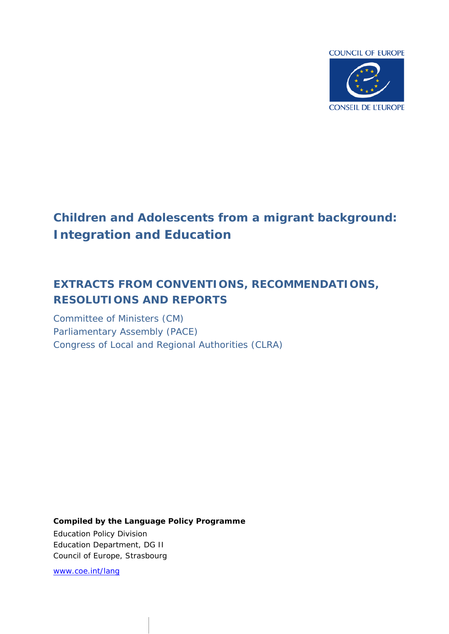

# **Children and Adolescents from a migrant background:** *Integration and Education*

# **EXTRACTS FROM CONVENTIONS, RECOMMENDATIONS, RESOLUTIONS AND REPORTS**

Committee of Ministers (CM) Parliamentary Assembly (PACE) Congress of Local and Regional Authorities (CLRA)

*Compiled by the Language Policy Programme* Education Policy Division Education Department, DG II Council of Europe, Strasbourg

[www.coe.int/lang](http://www.coe.int/lang)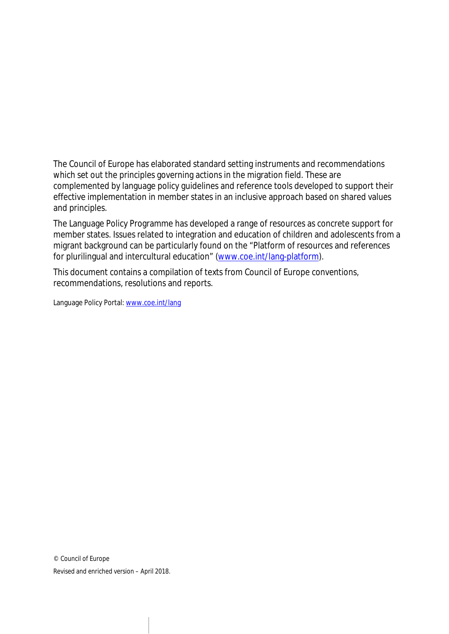The Council of Europe has elaborated standard setting instruments and recommendations which set out the principles governing actions in the migration field. These are complemented by language policy guidelines and reference tools developed to support their effective implementation in member states in an inclusive approach based on shared values and principles.

The Language Policy Programme has developed a range of resources as concrete support for member states. Issues related to integration and education of children and adolescents from a migrant background can be particularly found on the "Platform of resources and references for plurilingual and intercultural education" [\(www.coe.int/lang-platform\)](http://www.coe.int/lang-platform).

This document contains a compilation of texts from Council of Europe conventions, recommendations, resolutions and reports.

Language Policy Portal: [www.coe.int/lang](http://www.coe.int/lang)

© Council of Europe Revised and enriched version – April 2018.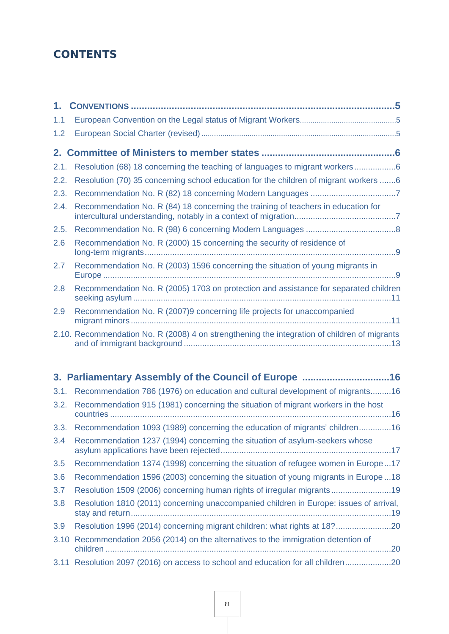# **CONTENTS**

| 1.1  |                                                                                              |  |
|------|----------------------------------------------------------------------------------------------|--|
| 1.2  |                                                                                              |  |
|      |                                                                                              |  |
| 2.1. | Resolution (68) 18 concerning the teaching of languages to migrant workers6                  |  |
| 2.2. | Resolution (70) 35 concerning school education for the children of migrant workers 6         |  |
| 2.3. |                                                                                              |  |
| 2.4. | Recommendation No. R (84) 18 concerning the training of teachers in education for            |  |
| 2.5. |                                                                                              |  |
| 2.6  | Recommendation No. R (2000) 15 concerning the security of residence of                       |  |
| 2.7  | Recommendation No. R (2003) 1596 concerning the situation of young migrants in               |  |
| 2.8  | Recommendation No. R (2005) 1703 on protection and assistance for separated children         |  |
| 2.9  | Recommendation No. R (2007)9 concerning life projects for unaccompanied                      |  |
|      | 2.10. Recommendation No. R (2008) 4 on strengthening the integration of children of migrants |  |

|      | 3. Parliamentary Assembly of the Council of Europe 16                                  |
|------|----------------------------------------------------------------------------------------|
| 3.1. | Recommendation 786 (1976) on education and cultural development of migrants16          |
| 3.2. | Recommendation 915 (1981) concerning the situation of migrant workers in the host      |
| 3.3. | Recommendation 1093 (1989) concerning the education of migrants' children16            |
| 3.4  | Recommendation 1237 (1994) concerning the situation of asylum-seekers whose            |
| 3.5  | Recommendation 1374 (1998) concerning the situation of refugee women in Europe17       |
| 3.6  | Recommendation 1596 (2003) concerning the situation of young migrants in Europe 18     |
| 3.7  | Resolution 1509 (2006) concerning human rights of irregular migrants19                 |
| 3.8  | Resolution 1810 (2011) concerning unaccompanied children in Europe: issues of arrival, |
| 3.9  | Resolution 1996 (2014) concerning migrant children: what rights at 18?20               |
| 3.10 | Recommendation 2056 (2014) on the alternatives to the immigration detention of         |
|      | 3.11 Resolution 2097 (2016) on access to school and education for all children20       |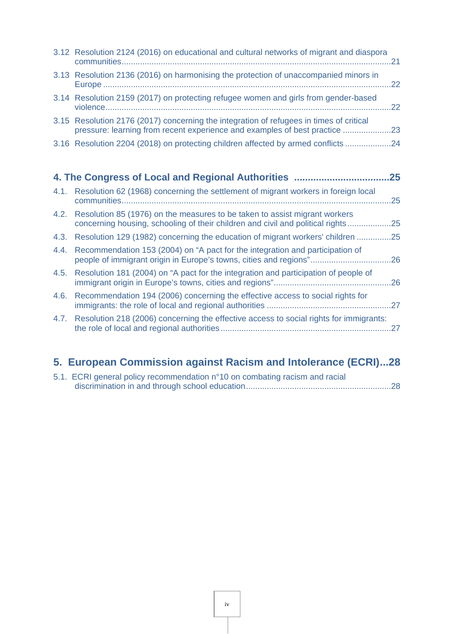| 4. The Congress of Local and Regional Authorities                                                                                                                     | 25  |
|-----------------------------------------------------------------------------------------------------------------------------------------------------------------------|-----|
| 3.16 Resolution 2204 (2018) on protecting children affected by armed conflicts 24                                                                                     |     |
| 3.15 Resolution 2176 (2017) concerning the integration of refugees in times of critical<br>pressure: learning from recent experience and examples of best practice 23 |     |
| 3.14 Resolution 2159 (2017) on protecting refugee women and girls from gender-based                                                                                   | .22 |
| 3.13 Resolution 2136 (2016) on harmonising the protection of unaccompanied minors in                                                                                  | 22  |
| 3.12 Resolution 2124 (2016) on educational and cultural networks of migrant and diaspora                                                                              | 21  |

| 4.1. Resolution 62 (1968) concerning the settlement of migrant workers in foreign local<br>communities                                                              | .25 |
|---------------------------------------------------------------------------------------------------------------------------------------------------------------------|-----|
| 4.2. Resolution 85 (1976) on the measures to be taken to assist migrant workers<br>concerning housing, schooling of their children and civil and political rights25 |     |
| 4.3. Resolution 129 (1982) concerning the education of migrant workers' children                                                                                    | .25 |
| 4.4. Recommendation 153 (2004) on "A pact for the integration and participation of<br>people of immigrant origin in Europe's towns, cities and regions"             | 26  |
| 4.5. Resolution 181 (2004) on "A pact for the integration and participation of people of                                                                            | .26 |
| 4.6. Recommendation 194 (2006) concerning the effective access to social rights for                                                                                 |     |

| 4.7. Resolution 218 (2006) concerning the effective access to social rights for immigrants: |  |
|---------------------------------------------------------------------------------------------|--|
|                                                                                             |  |

# **[5. European Commission against Racism and Intolerance \(ECRI\)...28](#page-27-0)**

| 5.1. ECRI general policy recommendation n°10 on combating racism and racial |  |
|-----------------------------------------------------------------------------|--|
|                                                                             |  |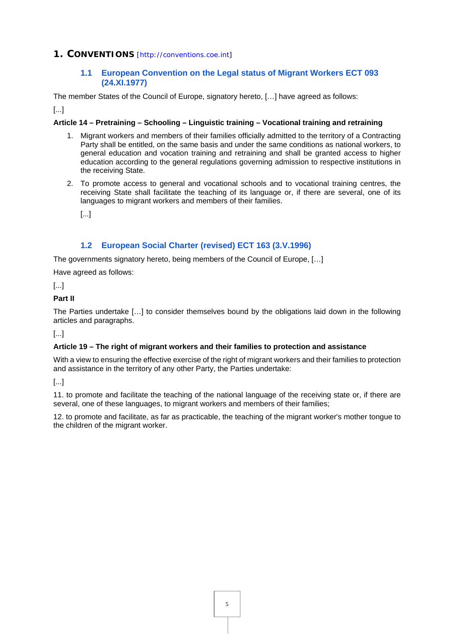# <span id="page-4-0"></span>**1. CONVENTIONS** [<http://conventions.coe.int>]

# <span id="page-4-1"></span>**1.1 [European Convention on the Legal status of Migrant Workers ECT 093](https://www.coe.int/en/web/conventions/full-list/-/conventions/rms/0900001680077323)  [\(24.XI.1977\)](https://www.coe.int/en/web/conventions/full-list/-/conventions/rms/0900001680077323)**

The member States of the Council of Europe, signatory hereto, […] have agreed as follows:

[...]

#### **Article 14 – Pretraining – Schooling – Linguistic training – Vocational training and retraining**

- 1. Migrant workers and members of their families officially admitted to the territory of a Contracting Party shall be entitled, on the same basis and under the same conditions as national workers, to general education and vocation training and retraining and shall be granted access to higher education according to the general regulations governing admission to respective institutions in the receiving State.
- 2. To promote access to general and vocational schools and to vocational training centres, the receiving State shall facilitate the teaching of its language or, if there are several, one of its languages to migrant workers and members of their families.

[...]

# <span id="page-4-2"></span>**1.2 [European Social Charter \(revised\) ECT 163 \(3.V.1996\)](https://www.coe.int/en/web/conventions/full-list/-/conventions/rms/090000168007cf93)**

The governments signatory hereto, being members of the Council of Europe, […]

Have agreed as follows:

[...]

#### **Part II**

The Parties undertake […] to consider themselves bound by the obligations laid down in the following articles and paragraphs.

[...]

#### **Article 19 – The right of migrant workers and their families to protection and assistance**

With a view to ensuring the effective exercise of the right of migrant workers and their families to protection and assistance in the territory of any other Party, the Parties undertake:

[...]

11. to promote and facilitate the teaching of the national language of the receiving state or, if there are several, one of these languages, to migrant workers and members of their families;

12. to promote and facilitate, as far as practicable, the teaching of the migrant worker's mother tongue to the children of the migrant worker.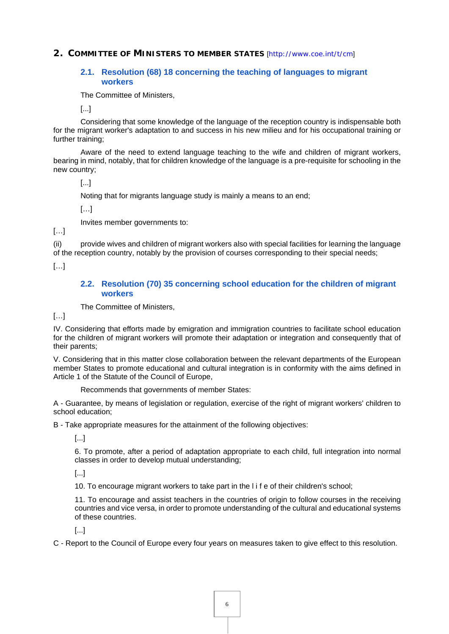<span id="page-5-0"></span>**2. COMMITTEE OF MINISTERS TO MEMBER STATES** [<http://www.coe.int/t/cm>]

#### <span id="page-5-1"></span>**[2.1. Resolution \(68\) 18 concerning the teaching of languages to migrant](https://search.coe.int/cm/Pages/result_details.aspx?ObjectId=09000016804d7d70)  [workers](https://search.coe.int/cm/Pages/result_details.aspx?ObjectId=09000016804d7d70)**

The Committee of Ministers,

[...]

Considering that some knowledge of the language of the reception country is indispensable both for the migrant worker's adaptation to and success in his new milieu and for his occupational training or further training;

Aware of the need to extend language teaching to the wife and children of migrant workers, bearing in mind, notably, that for children knowledge of the language is a pre-requisite for schooling in the new country;

[...]

Noting that for migrants language study is mainly a means to an end;

[…]

Invites member governments to:

[…]

(ii) provide wives and children of migrant workers also with special facilities for learning the language of the reception country, notably by the provision of courses corresponding to their special needs;

[…]

#### <span id="page-5-2"></span>**2.2. [Resolution \(70\) 35 concerning school education for the children of migrant](https://rm.coe.int/16804bd244)  [workers](https://rm.coe.int/16804bd244)**

The Committee of Ministers,

[…]

IV. Considering that efforts made by emigration and immigration countries to facilitate school education for the children of migrant workers will promote their adaptation or integration and consequently that of their parents;

V. Considering that in this matter close collaboration between the relevant departments of the European member States to promote educational and cultural integration is in conformity with the aims defined in Article 1 of the Statute of the Council of Europe,

Recommends that governments of member States:

A - Guarantee, by means of legislation or regulation, exercise of the right of migrant workers' children to school education;

B - Take appropriate measures for the attainment of the following objectives:

[...]

6. To promote, after a period of adaptation appropriate to each child, full integration into normal classes in order to develop mutual understanding;

[...]

10. To encourage migrant workers to take part in the l i f e of their children's school;

11. To encourage and assist teachers in the countries of origin to follow courses in the receiving countries and vice versa, in order to promote understanding of the cultural and educational systems of these countries.

[...]

C - Report to the Council of Europe every four years on measures taken to give effect to this resolution.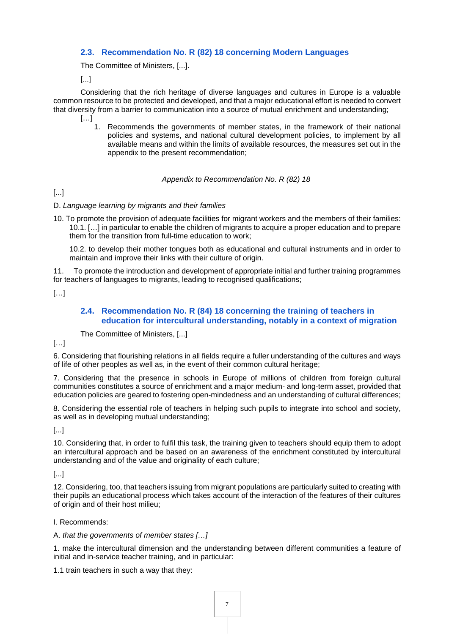# <span id="page-6-0"></span>**[2.3. Recommendation No. R \(82\) 18 concerning Modern Languages](https://rm.coe.int/16804fa45e)**

The Committee of Ministers, [...].

[...]

Considering that the rich heritage of diverse languages and cultures in Europe is a valuable common resource to be protected and developed, and that a major educational effort is needed to convert that diversity from a barrier to communication into a source of mutual enrichment and understanding; […]

> Recommends the governments of member states, in the framework of their national policies and systems, and national cultural development policies, to implement by all available means and within the limits of available resources, the measures set out in the appendix to the present recommendation;

> > *Appendix to Recommendation No. R (82) 18*

[...]

#### D. *Language learning by migrants and their families*

10. To promote the provision of adequate facilities for migrant workers and the members of their families: 10.1. […] in particular to enable the children of migrants to acquire a proper education and to prepare them for the transition from full-time education to work;

10.2. to develop their mother tongues both as educational and cultural instruments and in order to maintain and improve their links with their culture of origin.

11. To promote the introduction and development of appropriate initial and further training programmes for teachers of languages to migrants, leading to recognised qualifications;

[…]

# <span id="page-6-1"></span>**2.4. [Recommendation No. R \(84\) 18 concerning the training of teachers in](http://wcd.coe.int/ViewDoc.jsp?Ref=Rec(84)18&Language=lanEnglish&Ver=original&Site=CM&BackColorInternet=9999CC&BackColorIntranet=FFBB55&BackColorLogged=FFAC75)  [education for intercultural understanding, notably in a context of migration](http://wcd.coe.int/ViewDoc.jsp?Ref=Rec(84)18&Language=lanEnglish&Ver=original&Site=CM&BackColorInternet=9999CC&BackColorIntranet=FFBB55&BackColorLogged=FFAC75)**

The Committee of Ministers, [...]

[…]

6. Considering that flourishing relations in all fields require a fuller understanding of the cultures and ways of life of other peoples as well as, in the event of their common cultural heritage;

7. Considering that the presence in schools in Europe of millions of children from foreign cultural communities constitutes a source of enrichment and a major medium- and long-term asset, provided that education policies are geared to fostering open-mindedness and an understanding of cultural differences;

8. Considering the essential role of teachers in helping such pupils to integrate into school and society, as well as in developing mutual understanding;

[...]

10. Considering that, in order to fulfil this task, the training given to teachers should equip them to adopt an intercultural approach and be based on an awareness of the enrichment constituted by intercultural understanding and of the value and originality of each culture;

[...]

12. Considering, too, that teachers issuing from migrant populations are particularly suited to creating with their pupils an educational process which takes account of the interaction of the features of their cultures of origin and of their host milieu;

I. Recommends:

#### A. *that the governments of member states […]*

1. make the intercultural dimension and the understanding between different communities a feature of initial and in-service teacher training, and in particular:

1.1 train teachers in such a way that they: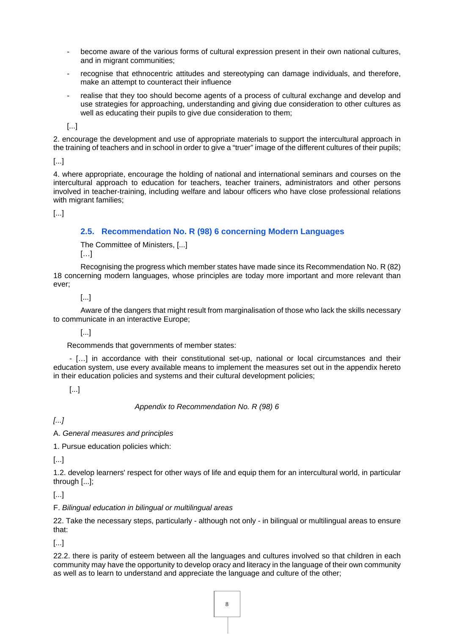- become aware of the various forms of cultural expression present in their own national cultures, and in migrant communities;
- recognise that ethnocentric attitudes and stereotyping can damage individuals, and therefore, make an attempt to counteract their influence
- realise that they too should become agents of a process of cultural exchange and develop and use strategies for approaching, understanding and giving due consideration to other cultures as well as educating their pupils to give due consideration to them;

2. encourage the development and use of appropriate materials to support the intercultural approach in the training of teachers and in school in order to give a "truer" image of the different cultures of their pupils;

[...]

4. where appropriate, encourage the holding of national and international seminars and courses on the intercultural approach to education for teachers, teacher trainers, administrators and other persons involved in teacher-training, including welfare and labour officers who have close professional relations with migrant families;

[...]

#### <span id="page-7-0"></span>**[2.5. Recommendation No. R \(98\) 6 concerning Modern Languages](https://rm.coe.int/16804fc569)**

The Committee of Ministers, [...]  $[\ldots]$ 

Recognising the progress which member states have made since its Recommendation No. R (82) 18 concerning modern languages, whose principles are today more important and more relevant than ever;

[...]

Aware of the dangers that might result from marginalisation of those who lack the skills necessary to communicate in an interactive Europe;

[...]

Recommends that governments of member states:

- […] in accordance with their constitutional set-up, national or local circumstances and their education system, use every available means to implement the measures set out in the appendix hereto in their education policies and systems and their cultural development policies;

[...]

*Appendix to Recommendation No. R (98) 6*

*[...]*

A. *General measures and principles*

1. Pursue education policies which:

[...]

1.2. develop learners' respect for other ways of life and equip them for an intercultural world, in particular through [...];

[...]

F. *Bilingual education in bilingual or multilingual areas*

22. Take the necessary steps, particularly - although not only - in bilingual or multilingual areas to ensure that:

[...]

22.2. there is parity of esteem between all the languages and cultures involved so that children in each community may have the opportunity to develop oracy and literacy in the language of their own community as well as to learn to understand and appreciate the language and culture of the other;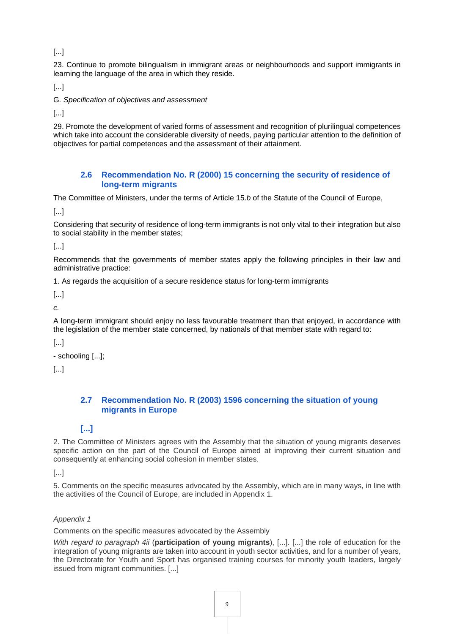23. Continue to promote bilingualism in immigrant areas or neighbourhoods and support immigrants in learning the language of the area in which they reside.

[...]

G*. Specification of objectives and assessment*

[...]

29. Promote the development of varied forms of assessment and recognition of plurilingual competences which take into account the considerable diversity of needs, paying particular attention to the definition of objectives for partial competences and the assessment of their attainment.

#### <span id="page-8-0"></span>**2.6 [Recommendation No. R \(2000\) 15 concerning the security of residence of](https://search.coe.int/cm/Pages/result_details.aspx?ObjectId=09000016804eb800)  [long-term migrants](https://search.coe.int/cm/Pages/result_details.aspx?ObjectId=09000016804eb800)**

The Committee of Ministers, under the terms of Article 15.*b* of the Statute of the Council of Europe,

[...]

Considering that security of residence of long-term immigrants is not only vital to their integration but also to social stability in the member states;

[...]

Recommends that the governments of member states apply the following principles in their law and administrative practice:

1. As regards the acquisition of a secure residence status for long-term immigrants

[...]

*c.*

A long-term immigrant should enjoy no less favourable treatment than that enjoyed, in accordance with the legislation of the member state concerned, by nationals of that member state with regard to:

[...]

- schooling [...];

[...]

# <span id="page-8-1"></span>**2.7 [Recommendation No. R \(2003\) 1596 concerning the situation of young](https://search.coe.int/cm/Pages/result_details.aspx?ObjectId=09000016805defc5)  [migrants in Europe](https://search.coe.int/cm/Pages/result_details.aspx?ObjectId=09000016805defc5)**

# **[...]**

2. The Committee of Ministers agrees with the Assembly that the situation of young migrants deserves specific action on the part of the Council of Europe aimed at improving their current situation and consequently at enhancing social cohesion in member states.

[...]

5. Comments on the specific measures advocated by the Assembly, which are in many ways, in line with the activities of the Council of Europe, are included in Appendix 1.

#### *Appendix 1*

Comments on the specific measures advocated by the Assembly

*With regard to paragraph 4ii* (**participation of young migrants**), [...]. [...] the role of education for the integration of young migrants are taken into account in youth sector activities, and for a number of years, the Directorate for Youth and Sport has organised training courses for minority youth leaders, largely issued from migrant communities. [...]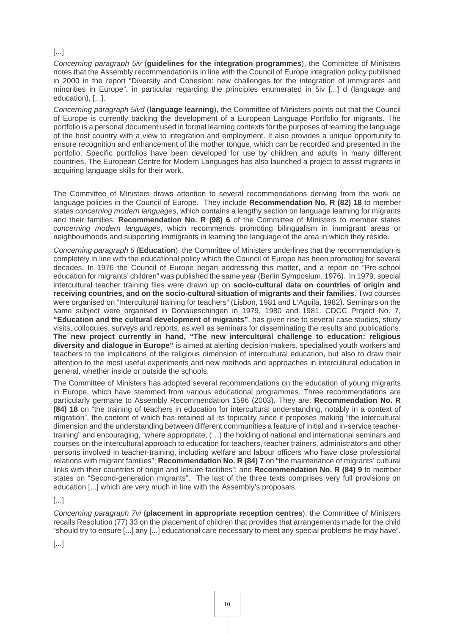*Concerning paragraph 5iv* (**guidelines for the integration programmes**), the Committee of Ministers notes that the Assembly recommendation is in line with the Council of Europe integration policy published in 2000 in the report "Diversity and Cohesion: new challenges for the integration of immigrants and minorities in Europe", in particular regarding the principles enumerated in 5iv [...] d (language and education), [...].

*Concerning paragraph 5ivd* (**language learning**), the Committee of Ministers points out that the Council of Europe is currently backing the development of a European Language Portfolio for migrants. The portfolio is a personal document used in formal learning contexts for the purposes of learning the language of the host country with a view to integration and employment. It also provides a unique opportunity to ensure recognition and enhancement of the mother tongue, which can be recorded and presented in the portfolio. Specific portfolios have been developed for use by children and adults in many different countries. The European Centre for Modern Languages has also launched a project to assist migrants in acquiring language skills for their work.

The Committee of Ministers draws attention to several recommendations deriving from the work on language policies in the Council of Europe. They include **Recommendation No. R (82) 18** to member states *concerning modern languages*, which contains a lengthy section on language learning for migrants and their families; **Recommendation No. R (98) 6** of the Committee of Ministers to member states *concerning modern languages*, which recommends promoting bilingualism in immigrant areas or neighbourhoods and supporting immigrants in learning the language of the area in which they reside.

*Concerning paragraph 6* (**Education**), the Committee of Ministers underlines that the recommendation is completely in line with the educational policy which the Council of Europe has been promoting for several decades. In 1976 the Council of Europe began addressing this matter, and a report on "Pre-school education for migrants' children" was published the same year (Berlin Symposium, 1976). In 1979, special intercultural teacher training files were drawn up on **socio-cultural data on countries of origin and receiving countries, and on the socio-cultural situation of migrants and their families**. Two courses were organised on "Intercultural training for teachers" (Lisbon, 1981 and L'Aquila, 1982). Seminars on the same subject were organised in Donaueschingen in 1979, 1980 and 1981. CDCC Project No. 7, **"Education and the cultural development of migrants"**, has given rise to several case studies, study visits, colloquies, surveys and reports, as well as seminars for disseminating the results and publications. **The new project currently in hand, "The new intercultural challenge to education: religious diversity and dialogue in Europe"** is aimed at alerting decision-makers, specialised youth workers and teachers to the implications of the religious dimension of intercultural education, but also to draw their attention to the most useful experiments and new methods and approaches in intercultural education in general, whether inside or outside the schools.

The Committee of Ministers has adopted several recommendations on the education of young migrants in Europe, which have stemmed from various educational programmes. Three recommendations are particularly germane to Assembly Recommendation 1596 (2003). They are: **Recommendation No. R (84) 18** on "the training of teachers in education for intercultural understanding, notably in a context of migration", the content of which has retained all its topicality since it proposes making "the intercultural dimension and the understanding between different communities a feature of initial and in-service teachertraining" and encouraging, "where appropriate, (…) the holding of national and international seminars and courses on the intercultural approach to education for teachers, teacher trainers, administrators and other persons involved in teacher-training, including welfare and labour officers who have close professional relations with migrant families"; **Recommendation No. R (84) 7** on "the maintenance of migrants' cultural links with their countries of origin and leisure facilities"; and **Recommendation No. R (84) 9** to member states on "Second-generation migrants". The last of the three texts comprises very full provisions on education [...] which are very much in line with the Assembly's proposals.

[...]

*Concerning paragraph 7vi* (**placement in appropriate reception centres**), the Committee of Ministers recalls Resolution (77) 33 on the placement of children that provides that arrangements made for the child "should try to ensure [...] any [...] educational care necessary to meet any special problems he may have".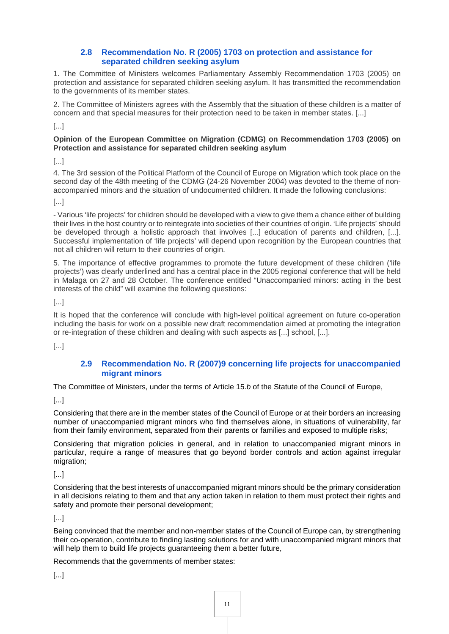# <span id="page-10-0"></span>**2.8 [Recommendation No. R \(2005\) 1703 on protection and assistance for](https://search.coe.int/cm/Pages/result_details.aspx?ObjectId=09000016805d9374)  [separated children seeking asylum](https://search.coe.int/cm/Pages/result_details.aspx?ObjectId=09000016805d9374)**

1. The Committee of Ministers welcomes Parliamentary Assembly Recommendation 1703 (2005) on protection and assistance for separated children seeking asylum. It has transmitted the recommendation to the governments of its member states.

2. The Committee of Ministers agrees with the Assembly that the situation of these children is a matter of concern and that special measures for their protection need to be taken in member states. [...]

[...]

#### **Opinion of the European Committee on Migration (CDMG) on Recommendation 1703 (2005) on Protection and assistance for separated children seeking asylum**

[...]

4. The 3rd session of the Political Platform of the Council of Europe on Migration which took place on the second day of the 48th meeting of the CDMG (24-26 November 2004) was devoted to the theme of nonaccompanied minors and the situation of undocumented children. It made the following conclusions:

[...]

- Various 'life projects' for children should be developed with a view to give them a chance either of building their lives in the host country or to reintegrate into societies of their countries of origin. 'Life projects' should be developed through a holistic approach that involves [...] education of parents and children, [...]. Successful implementation of 'life projects' will depend upon recognition by the European countries that not all children will return to their countries of origin.

5. The importance of effective programmes to promote the future development of these children ('life projects') was clearly underlined and has a central place in the 2005 regional conference that will be held in Malaga on 27 and 28 October. The conference entitled "Unaccompanied minors: acting in the best interests of the child" will examine the following questions:

[...]

It is hoped that the conference will conclude with high-level political agreement on future co-operation including the basis for work on a possible new draft recommendation aimed at promoting the integration or re-integration of these children and dealing with such aspects as [...] school, [...].

[...]

# <span id="page-10-1"></span>**2.9 [Recommendation No. R \(2007\)9 concerning life projects for unaccompanied](https://search.coe.int/cm/Pages/result_details.aspx?ObjectID=09000016805d5540)  [migrant minors](https://search.coe.int/cm/Pages/result_details.aspx?ObjectID=09000016805d5540)**

The Committee of Ministers, under the terms of Article 15.*b* of the Statute of the Council of Europe,

[...]

Considering that there are in the member states of the Council of Europe or at their borders an increasing number of unaccompanied migrant minors who find themselves alone, in situations of vulnerability, far from their family environment, separated from their parents or families and exposed to multiple risks;

Considering that migration policies in general, and in relation to unaccompanied migrant minors in particular, require a range of measures that go beyond border controls and action against irregular migration;

[...]

Considering that the best interests of unaccompanied migrant minors should be the primary consideration in all decisions relating to them and that any action taken in relation to them must protect their rights and safety and promote their personal development;

[...]

Being convinced that the member and non-member states of the Council of Europe can, by strengthening their co-operation, contribute to finding lasting solutions for and with unaccompanied migrant minors that will help them to build life projects quaranteeing them a better future,

Recommends that the governments of member states: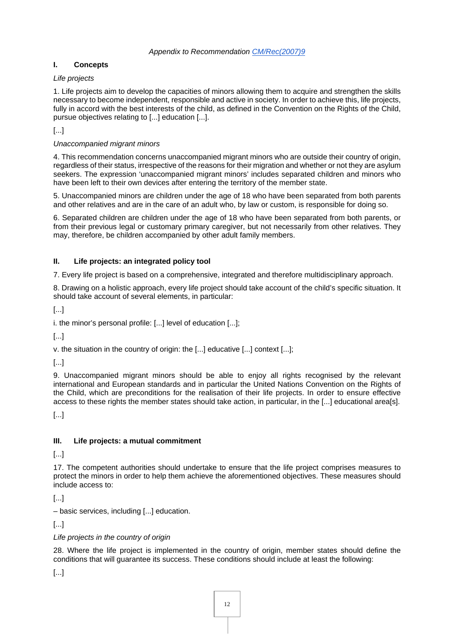# **I. Concepts**

#### *Life projects*

1. Life projects aim to develop the capacities of minors allowing them to acquire and strengthen the skills necessary to become independent, responsible and active in society. In order to achieve this, life projects, fully in accord with the best interests of the child, as defined in the Convention on the Rights of the Child, pursue objectives relating to [...] education [...].

[...]

#### *Unaccompanied migrant minors*

4. This recommendation concerns unaccompanied migrant minors who are outside their country of origin, regardless of their status, irrespective of the reasons for their migration and whether or not they are asylum seekers. The expression 'unaccompanied migrant minors' includes separated children and minors who have been left to their own devices after entering the territory of the member state.

5. Unaccompanied minors are children under the age of 18 who have been separated from both parents and other relatives and are in the care of an adult who, by law or custom, is responsible for doing so.

6. Separated children are children under the age of 18 who have been separated from both parents, or from their previous legal or customary primary caregiver, but not necessarily from other relatives. They may, therefore, be children accompanied by other adult family members.

#### **II. Life projects: an integrated policy tool**

7. Every life project is based on a comprehensive, integrated and therefore multidisciplinary approach.

8. Drawing on a holistic approach, every life project should take account of the child's specific situation. It should take account of several elements, in particular:

[...]

i. the minor's personal profile: [...] level of education [...];

[...]

v. the situation in the country of origin: the [...] educative [...] context [...];

[...]

9. Unaccompanied migrant minors should be able to enjoy all rights recognised by the relevant international and European standards and in particular the United Nations Convention on the Rights of the Child, which are preconditions for the realisation of their life projects. In order to ensure effective access to these rights the member states should take action, in particular, in the [...] educational area[s].

[...]

# **III. Life projects: a mutual commitment**

[...]

17. The competent authorities should undertake to ensure that the life project comprises measures to protect the minors in order to help them achieve the aforementioned objectives. These measures should include access to:

[...]

– basic services, including [...] education.

[...]

# *Life projects in the country of origin*

28. Where the life project is implemented in the country of origin, member states should define the conditions that will guarantee its success. These conditions should include at least the following: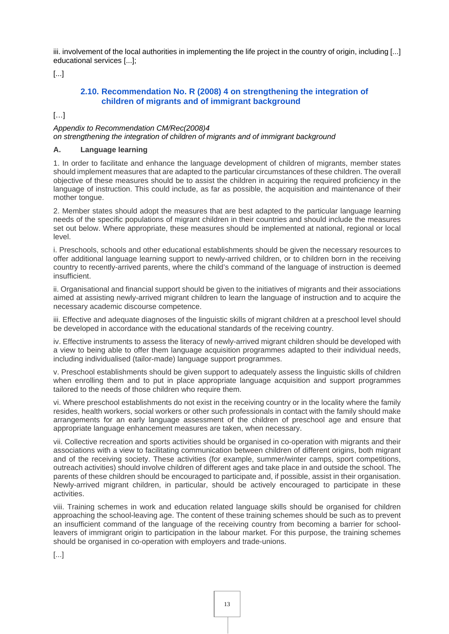iii. involvement of the local authorities in implementing the life project in the country of origin, including [...] educational services [...];

[...]

# <span id="page-12-0"></span>**2.10. [Recommendation No. R \(2008\) 4 on strengthening the integration of](http://wcd.coe.int/ViewDoc.jsp?id=1253467&Site=CM&BackColorInternet=9999CC&BackColorIntranet=FFBB55&BackColorLogged=FFAC75)  [children of migrants and of immigrant background](http://wcd.coe.int/ViewDoc.jsp?id=1253467&Site=CM&BackColorInternet=9999CC&BackColorIntranet=FFBB55&BackColorLogged=FFAC75)**

[…]

*Appendix to Recommendation CM/Rec(2008)4 on strengthening the integration of children of migrants and of immigrant background*

#### **A. Language learning**

1. In order to facilitate and enhance the language development of children of migrants, member states should implement measures that are adapted to the particular circumstances of these children. The overall objective of these measures should be to assist the children in acquiring the required proficiency in the language of instruction. This could include, as far as possible, the acquisition and maintenance of their mother tongue.

2. Member states should adopt the measures that are best adapted to the particular language learning needs of the specific populations of migrant children in their countries and should include the measures set out below. Where appropriate, these measures should be implemented at national, regional or local level.

i. Preschools, schools and other educational establishments should be given the necessary resources to offer additional language learning support to newly-arrived children, or to children born in the receiving country to recently-arrived parents, where the child's command of the language of instruction is deemed insufficient.

ii. Organisational and financial support should be given to the initiatives of migrants and their associations aimed at assisting newly-arrived migrant children to learn the language of instruction and to acquire the necessary academic discourse competence.

iii. Effective and adequate diagnoses of the linguistic skills of migrant children at a preschool level should be developed in accordance with the educational standards of the receiving country.

iv. Effective instruments to assess the literacy of newly-arrived migrant children should be developed with a view to being able to offer them language acquisition programmes adapted to their individual needs, including individualised (tailor-made) language support programmes.

v. Preschool establishments should be given support to adequately assess the linguistic skills of children when enrolling them and to put in place appropriate language acquisition and support programmes tailored to the needs of those children who require them.

vi. Where preschool establishments do not exist in the receiving country or in the locality where the family resides, health workers, social workers or other such professionals in contact with the family should make arrangements for an early language assessment of the children of preschool age and ensure that appropriate language enhancement measures are taken, when necessary.

vii. Collective recreation and sports activities should be organised in co-operation with migrants and their associations with a view to facilitating communication between children of different origins, both migrant and of the receiving society. These activities (for example, summer/winter camps, sport competitions, outreach activities) should involve children of different ages and take place in and outside the school. The parents of these children should be encouraged to participate and, if possible, assist in their organisation. Newly-arrived migrant children, in particular, should be actively encouraged to participate in these activities.

viii. Training schemes in work and education related language skills should be organised for children approaching the school-leaving age. The content of these training schemes should be such as to prevent an insufficient command of the language of the receiving country from becoming a barrier for schoolleavers of immigrant origin to participation in the labour market. For this purpose, the training schemes should be organised in co-operation with employers and trade-unions.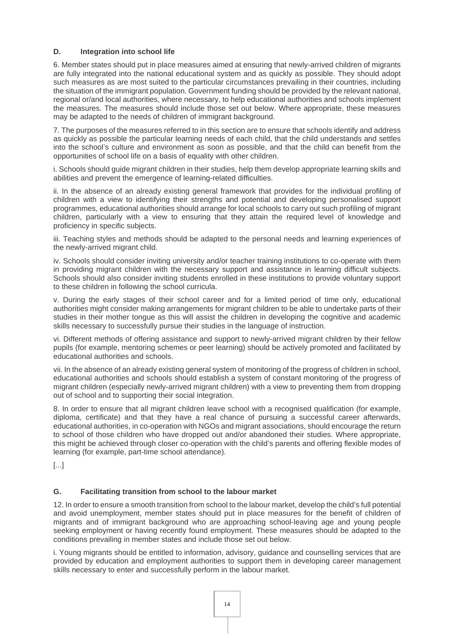#### **D. Integration into school life**

6. Member states should put in place measures aimed at ensuring that newly-arrived children of migrants are fully integrated into the national educational system and as quickly as possible. They should adopt such measures as are most suited to the particular circumstances prevailing in their countries, including the situation of the immigrant population. Government funding should be provided by the relevant national, regional or/and local authorities, where necessary, to help educational authorities and schools implement the measures. The measures should include those set out below. Where appropriate, these measures may be adapted to the needs of children of immigrant background.

7. The purposes of the measures referred to in this section are to ensure that schools identify and address as quickly as possible the particular learning needs of each child, that the child understands and settles into the school's culture and environment as soon as possible, and that the child can benefit from the opportunities of school life on a basis of equality with other children.

i. Schools should guide migrant children in their studies, help them develop appropriate learning skills and abilities and prevent the emergence of learning-related difficulties.

ii. In the absence of an already existing general framework that provides for the individual profiling of children with a view to identifying their strengths and potential and developing personalised support programmes, educational authorities should arrange for local schools to carry out such profiling of migrant children, particularly with a view to ensuring that they attain the required level of knowledge and proficiency in specific subjects.

iii. Teaching styles and methods should be adapted to the personal needs and learning experiences of the newly-arrived migrant child.

iv. Schools should consider inviting university and/or teacher training institutions to co-operate with them in providing migrant children with the necessary support and assistance in learning difficult subjects. Schools should also consider inviting students enrolled in these institutions to provide voluntary support to these children in following the school curricula.

v. During the early stages of their school career and for a limited period of time only, educational authorities might consider making arrangements for migrant children to be able to undertake parts of their studies in their mother tongue as this will assist the children in developing the cognitive and academic skills necessary to successfully pursue their studies in the language of instruction.

vi. Different methods of offering assistance and support to newly-arrived migrant children by their fellow pupils (for example, mentoring schemes or peer learning) should be actively promoted and facilitated by educational authorities and schools.

vii. In the absence of an already existing general system of monitoring of the progress of children in school, educational authorities and schools should establish a system of constant monitoring of the progress of migrant children (especially newly-arrived migrant children) with a view to preventing them from dropping out of school and to supporting their social integration.

8. In order to ensure that all migrant children leave school with a recognised qualification (for example, diploma, certificate) and that they have a real chance of pursuing a successful career afterwards, educational authorities, in co-operation with NGOs and migrant associations, should encourage the return to school of those children who have dropped out and/or abandoned their studies. Where appropriate, this might be achieved through closer co-operation with the child's parents and offering flexible modes of learning (for example, part-time school attendance).

[...]

#### **G. Facilitating transition from school to the labour market**

12. In order to ensure a smooth transition from school to the labour market, develop the child's full potential and avoid unemployment, member states should put in place measures for the benefit of children of migrants and of immigrant background who are approaching school-leaving age and young people seeking employment or having recently found employment. These measures should be adapted to the conditions prevailing in member states and include those set out below.

i. Young migrants should be entitled to information, advisory, guidance and counselling services that are provided by education and employment authorities to support them in developing career management skills necessary to enter and successfully perform in the labour market.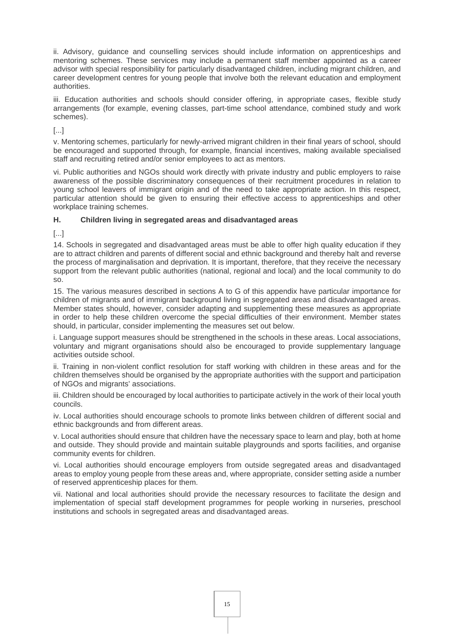ii. Advisory, guidance and counselling services should include information on apprenticeships and mentoring schemes. These services may include a permanent staff member appointed as a career advisor with special responsibility for particularly disadvantaged children, including migrant children, and career development centres for young people that involve both the relevant education and employment authorities.

iii. Education authorities and schools should consider offering, in appropriate cases, flexible study arrangements (for example, evening classes, part-time school attendance, combined study and work schemes).

[...]

v. Mentoring schemes, particularly for newly-arrived migrant children in their final years of school, should be encouraged and supported through, for example, financial incentives, making available specialised staff and recruiting retired and/or senior employees to act as mentors.

vi. Public authorities and NGOs should work directly with private industry and public employers to raise awareness of the possible discriminatory consequences of their recruitment procedures in relation to young school leavers of immigrant origin and of the need to take appropriate action. In this respect, particular attention should be given to ensuring their effective access to apprenticeships and other workplace training schemes.

#### **H. Children living in segregated areas and disadvantaged areas**

[...]

14. Schools in segregated and disadvantaged areas must be able to offer high quality education if they are to attract children and parents of different social and ethnic background and thereby halt and reverse the process of marginalisation and deprivation. It is important, therefore, that they receive the necessary support from the relevant public authorities (national, regional and local) and the local community to do so.

15. The various measures described in sections A to G of this appendix have particular importance for children of migrants and of immigrant background living in segregated areas and disadvantaged areas. Member states should, however, consider adapting and supplementing these measures as appropriate in order to help these children overcome the special difficulties of their environment. Member states should, in particular, consider implementing the measures set out below.

i. Language support measures should be strengthened in the schools in these areas. Local associations, voluntary and migrant organisations should also be encouraged to provide supplementary language activities outside school.

ii. Training in non-violent conflict resolution for staff working with children in these areas and for the children themselves should be organised by the appropriate authorities with the support and participation of NGOs and migrants' associations.

iii. Children should be encouraged by local authorities to participate actively in the work of their local youth councils.

iv. Local authorities should encourage schools to promote links between children of different social and ethnic backgrounds and from different areas.

v. Local authorities should ensure that children have the necessary space to learn and play, both at home and outside. They should provide and maintain suitable playgrounds and sports facilities, and organise community events for children.

vi. Local authorities should encourage employers from outside segregated areas and disadvantaged areas to employ young people from these areas and, where appropriate, consider setting aside a number of reserved apprenticeship places for them.

vii. National and local authorities should provide the necessary resources to facilitate the design and implementation of special staff development programmes for people working in nurseries, preschool institutions and schools in segregated areas and disadvantaged areas.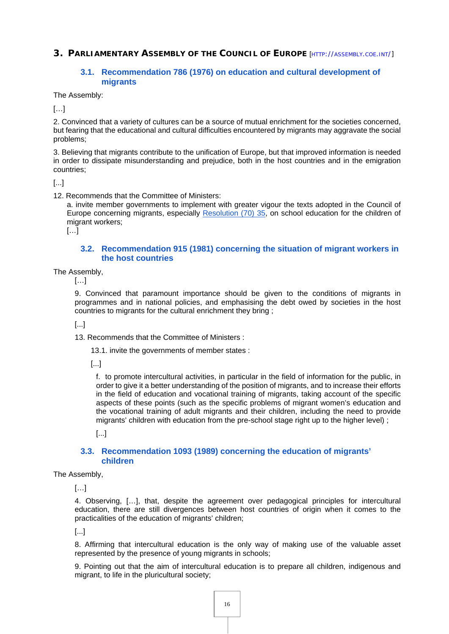<span id="page-15-0"></span>**3. PARLIAMENTARY ASSEMBLY OF THE COUNCIL OF EUROPE** [HTTP://[ASSEMBLY](http://assembly.coe.int/).COE.INT/]

# <span id="page-15-1"></span>**3.1. [Recommendation 786 \(1976\) on education and cultural development of](http://assembly.coe.int/nw/xml/XRef/Xref-XML2HTML-en.asp?fileid=14820&lang=en)  [migrants](http://assembly.coe.int/nw/xml/XRef/Xref-XML2HTML-en.asp?fileid=14820&lang=en)**

The Assembly:

 $[\ldots]$ 

2. Convinced that a variety of cultures can be a source of mutual enrichment for the societies concerned, but fearing that the educational and cultural difficulties encountered by migrants may aggravate the social problems;

3. Believing that migrants contribute to the unification of Europe, but that improved information is needed in order to dissipate misunderstanding and prejudice, both in the host countries and in the emigration countries;

[...]

12. Recommends that the Committee of Ministers:

a. invite member governments to implement with greater vigour the texts adopted in the Council of Europe concerning migrants, especially [Resolution \(70\) 35](https://rm.coe.int/16804bd244), on school education for the children of migrant workers:

 $[...]$ 

#### <span id="page-15-2"></span>**3.2. [Recommendation 915 \(1981\) concerning the situation of migrant workers in](http://assembly.coe.int/nw/xml/XRef/Xref-XML2HTML-EN.asp?fileid=14949&lang=en)  [the host countries](http://assembly.coe.int/nw/xml/XRef/Xref-XML2HTML-EN.asp?fileid=14949&lang=en)**

The Assembly,

 $[...]$ 

9. Convinced that paramount importance should be given to the conditions of migrants in programmes and in national policies, and emphasising the debt owed by societies in the host countries to migrants for the cultural enrichment they bring ;

[...]

13. Recommends that the Committee of Ministers :

13.1. invite the governments of member states :

[...]

f. to promote intercultural activities, in particular in the field of information for the public, in order to give it a better understanding of the position of migrants, and to increase their efforts in the field of education and vocational training of migrants, taking account of the specific aspects of these points (such as the specific problems of migrant women's education and the vocational training of adult migrants and their children, including the need to provide migrants' children with education from the pre-school stage right up to the higher level) ;

[...]

#### <span id="page-15-3"></span>**3.3. [Recommendation 1093 \(1989\) concerning the education of migrants'](http://www.assembly.coe.int/nw/xml/XRef/Xref-XML2HTML-en.asp?fileid=15127&lang=en)  [children](http://www.assembly.coe.int/nw/xml/XRef/Xref-XML2HTML-en.asp?fileid=15127&lang=en)**

The Assembly,

[…]

4. Observing, […], that, despite the agreement over pedagogical principles for intercultural education, there are still divergences between host countries of origin when it comes to the practicalities of the education of migrants' children;

[...]

8. Affirming that intercultural education is the only way of making use of the valuable asset represented by the presence of young migrants in schools;

9. Pointing out that the aim of intercultural education is to prepare all children, indigenous and migrant, to life in the pluricultural society;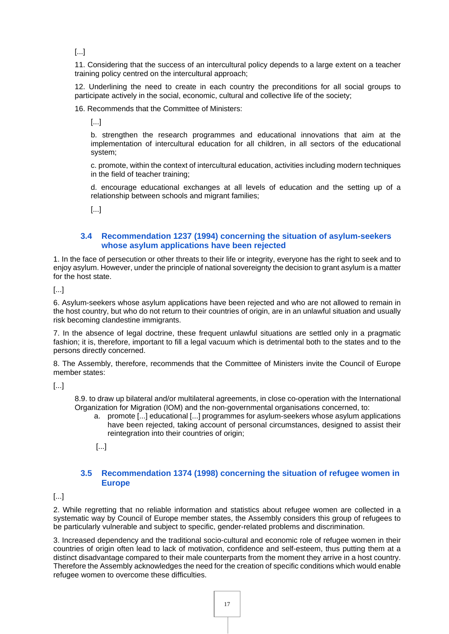11. Considering that the success of an intercultural policy depends to a large extent on a teacher training policy centred on the intercultural approach;

12. Underlining the need to create in each country the preconditions for all social groups to participate actively in the social, economic, cultural and collective life of the society;

16. Recommends that the Committee of Ministers:

[...]

b. strengthen the research programmes and educational innovations that aim at the implementation of intercultural education for all children, in all sectors of the educational system;

c. promote, within the context of intercultural education, activities including modern techniques in the field of teacher training;

d. encourage educational exchanges at all levels of education and the setting up of a relationship between schools and migrant families;

[...]

#### <span id="page-16-0"></span>**3.4 [Recommendation 1237 \(1994\) concerning the situation of asylum-seekers](http://assembly.coe.int/nw/xml/XRef/Xref-XML2HTML-en.asp?fileid=15271&lang=en)  [whose asylum applications have been rejected](http://assembly.coe.int/nw/xml/XRef/Xref-XML2HTML-en.asp?fileid=15271&lang=en)**

1. In the face of persecution or other threats to their life or integrity, everyone has the right to seek and to enjoy asylum. However, under the principle of national sovereignty the decision to grant asylum is a matter for the host state.

[...]

6. Asylum-seekers whose asylum applications have been rejected and who are not allowed to remain in the host country, but who do not return to their countries of origin, are in an unlawful situation and usually risk becoming clandestine immigrants.

7. In the absence of legal doctrine, these frequent unlawful situations are settled only in a pragmatic fashion; it is, therefore, important to fill a legal vacuum which is detrimental both to the states and to the persons directly concerned.

8. The Assembly, therefore, recommends that the Committee of Ministers invite the Council of Europe member states:

[...]

8.9. to draw up bilateral and/or multilateral agreements, in close co-operation with the International Organization for Migration (IOM) and the non-governmental organisations concerned, to:

- a. promote [...] educational [...] programmes for asylum-seekers whose asylum applications have been rejected, taking account of personal circumstances, designed to assist their reintegration into their countries of origin;
- [...]

#### <span id="page-16-1"></span>**3.5 [Recommendation 1374 \(1998\) concerning the situation of refugee women in](http://assembly.coe.int/nw/xml/XRef/Xref-XML2HTML-EN.asp?fileid=16626&lang=en)  [Europe](http://assembly.coe.int/nw/xml/XRef/Xref-XML2HTML-EN.asp?fileid=16626&lang=en)**

[...]

2. While regretting that no reliable information and statistics about refugee women are collected in a systematic way by Council of Europe member states, the Assembly considers this group of refugees to be particularly vulnerable and subject to specific, gender-related problems and discrimination.

3. Increased dependency and the traditional socio-cultural and economic role of refugee women in their countries of origin often lead to lack of motivation, confidence and self-esteem, thus putting them at a distinct disadvantage compared to their male counterparts from the moment they arrive in a host country. Therefore the Assembly acknowledges the need for the creation of specific conditions which would enable refugee women to overcome these difficulties.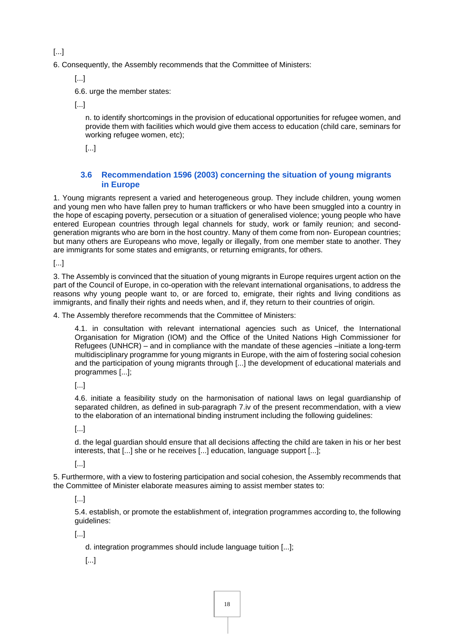6. Consequently, the Assembly recommends that the Committee of Ministers:

[...]

6.6. urge the member states:

[...]

n. to identify shortcomings in the provision of educational opportunities for refugee women, and provide them with facilities which would give them access to education (child care, seminars for working refugee women, etc);

[...]

#### <span id="page-17-0"></span>**3.6 [Recommendation 1596 \(2003\) concerning the situation of young migrants](http://assembly.coe.int/nw/xml/XRef/Xref-XML2HTML-en.asp?fileid=17086&lang=en)  [in Europe](http://assembly.coe.int/nw/xml/XRef/Xref-XML2HTML-en.asp?fileid=17086&lang=en)**

1. Young migrants represent a varied and heterogeneous group. They include children, young women and young men who have fallen prey to human traffickers or who have been smuggled into a country in the hope of escaping poverty, persecution or a situation of generalised violence; young people who have entered European countries through legal channels for study, work or family reunion; and secondgeneration migrants who are born in the host country. Many of them come from non- European countries; but many others are Europeans who move, legally or illegally, from one member state to another. They are immigrants for some states and emigrants, or returning emigrants, for others.

[...]

3. The Assembly is convinced that the situation of young migrants in Europe requires urgent action on the part of the Council of Europe, in co-operation with the relevant international organisations, to address the reasons why young people want to, or are forced to, emigrate, their rights and living conditions as immigrants, and finally their rights and needs when, and if, they return to their countries of origin.

4. The Assembly therefore recommends that the Committee of Ministers:

4.1. in consultation with relevant international agencies such as Unicef, the International Organisation for Migration (IOM) and the Office of the United Nations High Commissioner for Refugees (UNHCR) – and in compliance with the mandate of these agencies –initiate a long-term multidisciplinary programme for young migrants in Europe, with the aim of fostering social cohesion and the participation of young migrants through [...] the development of educational materials and programmes [...];

[...]

4.6. initiate a feasibility study on the harmonisation of national laws on legal guardianship of separated children, as defined in sub-paragraph 7.iv of the present recommendation, with a view to the elaboration of an international binding instrument including the following guidelines:

[...]

d. the legal guardian should ensure that all decisions affecting the child are taken in his or her best interests, that [...] she or he receives [...] education, language support [...];

[...]

5. Furthermore, with a view to fostering participation and social cohesion, the Assembly recommends that the Committee of Minister elaborate measures aiming to assist member states to:

[...]

5.4. establish, or promote the establishment of, integration programmes according to, the following guidelines:

[...]

d. integration programmes should include language tuition [...];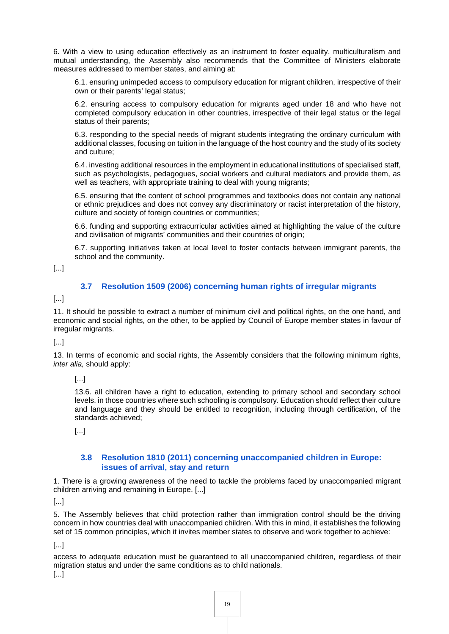6. With a view to using education effectively as an instrument to foster equality, multiculturalism and mutual understanding, the Assembly also recommends that the Committee of Ministers elaborate measures addressed to member states, and aiming at:

6.1. ensuring unimpeded access to compulsory education for migrant children, irrespective of their own or their parents' legal status;

6.2. ensuring access to compulsory education for migrants aged under 18 and who have not completed compulsory education in other countries, irrespective of their legal status or the legal status of their parents;

6.3. responding to the special needs of migrant students integrating the ordinary curriculum with additional classes, focusing on tuition in the language of the host country and the study of its society and culture;

6.4. investing additional resources in the employment in educational institutions of specialised staff, such as psychologists, pedagogues, social workers and cultural mediators and provide them, as well as teachers, with appropriate training to deal with young migrants;

6.5. ensuring that the content of school programmes and textbooks does not contain any national or ethnic prejudices and does not convey any discriminatory or racist interpretation of the history, culture and society of foreign countries or communities;

6.6. funding and supporting extracurricular activities aimed at highlighting the value of the culture and civilisation of migrants' communities and their countries of origin;

6.7. supporting initiatives taken at local level to foster contacts between immigrant parents, the school and the community.

[...]

#### <span id="page-18-0"></span>**3.7 [Resolution 1509 \(2006\) concerning human rights of irregular migrants](http://assembly.coe.int/nw/xml/XRef/Xref-XML2HTML-en.asp?fileid=17456&lang=en)**

[...]

11. It should be possible to extract a number of minimum civil and political rights, on the one hand, and economic and social rights, on the other, to be applied by Council of Europe member states in favour of irregular migrants.

#### [...]

13. In terms of economic and social rights, the Assembly considers that the following minimum rights, *inter alia,* should apply:

[...]

13.6. all children have a right to education, extending to primary school and secondary school levels, in those countries where such schooling is compulsory. Education should reflect their culture and language and they should be entitled to recognition, including through certification, of the standards achieved;

[...]

#### <span id="page-18-1"></span>**3.8 [Resolution 1810 \(2011\) concerning unaccompanied children in Europe:](http://assembly.coe.int/nw/xml/XRef/Xref-XML2HTML-en.asp?fileid=17991&lang=en)  [issues of arrival, stay and return](http://assembly.coe.int/nw/xml/XRef/Xref-XML2HTML-en.asp?fileid=17991&lang=en)**

1. There is a growing awareness of the need to tackle the problems faced by unaccompanied migrant children arriving and remaining in Europe. [...]

[...]

5. The Assembly believes that child protection rather than immigration control should be the driving concern in how countries deal with unaccompanied children. With this in mind, it establishes the following set of 15 common principles, which it invites member states to observe and work together to achieve:

[...]

access to adequate education must be guaranteed to all unaccompanied children, regardless of their migration status and under the same conditions as to child nationals.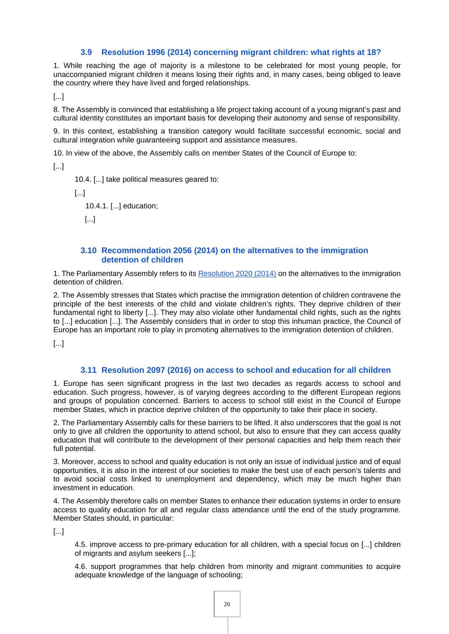#### <span id="page-19-0"></span>**3.9 [Resolution 1996 \(2014\) concerning migrant children: what rights at 18?](http://assembly.coe.int/nw/xml/XRef/Xref-XML2HTML-EN.asp?fileid=20926&lang=en)**

1. While reaching the age of majority is a milestone to be celebrated for most young people, for unaccompanied migrant children it means losing their rights and, in many cases, being obliged to leave the country where they have lived and forged relationships.

[...]

8. The Assembly is convinced that establishing a life project taking account of a young migrant's past and cultural identity constitutes an important basis for developing their autonomy and sense of responsibility.

9. In this context, establishing a transition category would facilitate successful economic, social and cultural integration while guaranteeing support and assistance measures.

10. In view of the above, the Assembly calls on member States of the Council of Europe to:

[...]

10.4. [...] take political measures geared to:

[...]

10.4.1. [...] education;

[...]

#### <span id="page-19-1"></span>**3.10 [Recommendation 2056 \(2014\) on the alternatives to the immigration](http://assembly.coe.int/nw/xml/XRef/Xref-XML2HTML-en.asp?fileid=21296&lang=en)  [detention of children](http://assembly.coe.int/nw/xml/XRef/Xref-XML2HTML-en.asp?fileid=21296&lang=en)**

1. The Parliamentary Assembly refers to its [Resolution 2020 \(2014\)](http://assembly.coe.int/nw/xml/XRef/Xref-DocDetails-en.asp?FileID=21295&lang=en) on the alternatives to the immigration detention of children.

2. The Assembly stresses that States which practise the immigration detention of children contravene the principle of the best interests of the child and violate children's rights. They deprive children of their fundamental right to liberty [...]. They may also violate other fundamental child rights, such as the rights to [...] education [...]. The Assembly considers that in order to stop this inhuman practice, the Council of Europe has an important role to play in promoting alternatives to the immigration detention of children.

[...]

#### <span id="page-19-2"></span>**3.11 [Resolution 2097 \(2016\) on access to school and education for all children](http://assembly.coe.int/nw/xml/XRef/Xref-XML2HTML-en.asp?fileid=22510&lang=en)**

1. Europe has seen significant progress in the last two decades as regards access to school and education. Such progress, however, is of varying degrees according to the different European regions and groups of population concerned. Barriers to access to school still exist in the Council of Europe member States, which in practice deprive children of the opportunity to take their place in society.

2. The Parliamentary Assembly calls for these barriers to be lifted. It also underscores that the goal is not only to give all children the opportunity to attend school, but also to ensure that they can access quality education that will contribute to the development of their personal capacities and help them reach their full potential.

3. Moreover, access to school and quality education is not only an issue of individual justice and of equal opportunities, it is also in the interest of our societies to make the best use of each person's talents and to avoid social costs linked to unemployment and dependency, which may be much higher than investment in education.

4. The Assembly therefore calls on member States to enhance their education systems in order to ensure access to quality education for all and regular class attendance until the end of the study programme. Member States should, in particular:

[...]

4.5. improve access to pre-primary education for all children, with a special focus on [...] children of migrants and asylum seekers [...];

4.6. support programmes that help children from minority and migrant communities to acquire adequate knowledge of the language of schooling;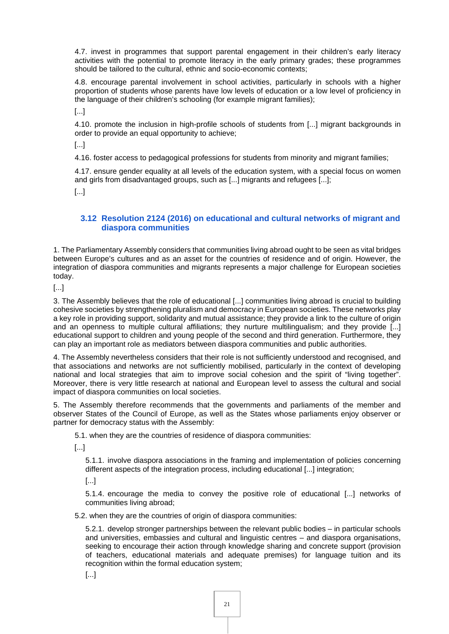4.7. invest in programmes that support parental engagement in their children's early literacy activities with the potential to promote literacy in the early primary grades; these programmes should be tailored to the cultural, ethnic and socio-economic contexts;

4.8. encourage parental involvement in school activities, particularly in schools with a higher proportion of students whose parents have low levels of education or a low level of proficiency in the language of their children's schooling (for example migrant families);

[...]

4.10. promote the inclusion in high-profile schools of students from [...] migrant backgrounds in order to provide an equal opportunity to achieve;

[...]

4.16. foster access to pedagogical professions for students from minority and migrant families;

4.17. ensure gender equality at all levels of the education system, with a special focus on women and girls from disadvantaged groups, such as [...] migrants and refugees [...];

[...]

## <span id="page-20-0"></span>**3.12 [Resolution 2124 \(2016\) on educational and cultural networks of migrant and](http://assembly.coe.int/nw/xml/XRef/Xref-XML2HTML-en.asp?fileid=22965&lang=en)  [diaspora communities](http://assembly.coe.int/nw/xml/XRef/Xref-XML2HTML-en.asp?fileid=22965&lang=en)**

1. The Parliamentary Assembly considers that communities living abroad ought to be seen as vital bridges between Europe's cultures and as an asset for the countries of residence and of origin. However, the integration of diaspora communities and migrants represents a major challenge for European societies today.

[...]

3. The Assembly believes that the role of educational [...] communities living abroad is crucial to building cohesive societies by strengthening pluralism and democracy in European societies. These networks play a key role in providing support, solidarity and mutual assistance; they provide a link to the culture of origin and an openness to multiple cultural affiliations; they nurture multilingualism; and they provide [...] educational support to children and young people of the second and third generation. Furthermore, they can play an important role as mediators between diaspora communities and public authorities.

4. The Assembly nevertheless considers that their role is not sufficiently understood and recognised, and that associations and networks are not sufficiently mobilised, particularly in the context of developing national and local strategies that aim to improve social cohesion and the spirit of "living together". Moreover, there is very little research at national and European level to assess the cultural and social impact of diaspora communities on local societies.

5. The Assembly therefore recommends that the governments and parliaments of the member and observer States of the Council of Europe, as well as the States whose parliaments enjoy observer or partner for democracy status with the Assembly:

5.1. when they are the countries of residence of diaspora communities:

[...]

5.1.1. involve diaspora associations in the framing and implementation of policies concerning different aspects of the integration process, including educational [...] integration;

[...]

5.1.4. encourage the media to convey the positive role of educational [...] networks of communities living abroad;

5.2. when they are the countries of origin of diaspora communities:

5.2.1. develop stronger partnerships between the relevant public bodies – in particular schools and universities, embassies and cultural and linguistic centres – and diaspora organisations, seeking to encourage their action through knowledge sharing and concrete support (provision of teachers, educational materials and adequate premises) for language tuition and its recognition within the formal education system;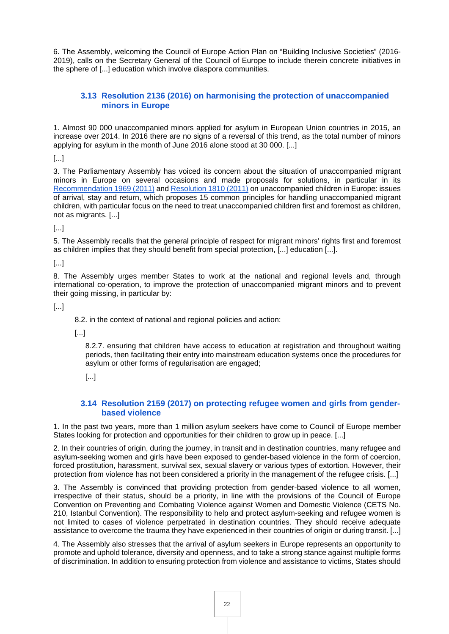6. The Assembly, welcoming the Council of Europe Action Plan on "Building Inclusive Societies" (2016- 2019), calls on the Secretary General of the Council of Europe to include therein concrete initiatives in the sphere of [...] education which involve diaspora communities.

# <span id="page-21-0"></span>**3.13 [Resolution 2136 \(2016\) on harmonising the protection of unaccompanied](http://assembly.coe.int/nw/xml/XRef/Xref-XML2HTML-EN.asp?fileid=23179&lang=en)  [minors in Europe](http://assembly.coe.int/nw/xml/XRef/Xref-XML2HTML-EN.asp?fileid=23179&lang=en)**

1. Almost 90 000 unaccompanied minors applied for asylum in European Union countries in 2015, an increase over 2014. In 2016 there are no signs of a reversal of this trend, as the total number of minors applying for asylum in the month of June 2016 alone stood at 30 000. [...]

[...]

3. The Parliamentary Assembly has voiced its concern about the situation of unaccompanied migrant minors in Europe on several occasions and made proposals for solutions, in particular in its [Recommendation 1969 \(2011\)](http://assembly.coe.int/nw/xml/XRef/Xref-DocDetails-en.asp?FileID=17993&lang=en) and [Resolution 1810 \(2011\)](http://assembly.coe.int/nw/xml/XRef/Xref-DocDetails-en.asp?FileID=17991&lang=en) on unaccompanied children in Europe: issues of arrival, stay and return, which proposes 15 common principles for handling unaccompanied migrant children, with particular focus on the need to treat unaccompanied children first and foremost as children, not as migrants. [...]

[...]

5. The Assembly recalls that the general principle of respect for migrant minors' rights first and foremost as children implies that they should benefit from special protection, [...] education [...].

[...]

8. The Assembly urges member States to work at the national and regional levels and, through international co-operation, to improve the protection of unaccompanied migrant minors and to prevent their going missing, in particular by:

[...]

8.2. in the context of national and regional policies and action:

[...]

8.2.7. ensuring that children have access to education at registration and throughout waiting periods, then facilitating their entry into mainstream education systems once the procedures for asylum or other forms of regularisation are engaged;

[...]

#### <span id="page-21-1"></span>**3.14 [Resolution 2159 \(2017\) on protecting refugee women and girls from gender](http://assembly.coe.int/nw/xml/XRef/Xref-XML2HTML-en.asp?fileid=23700&lang=en)[based violence](http://assembly.coe.int/nw/xml/XRef/Xref-XML2HTML-en.asp?fileid=23700&lang=en)**

1. In the past two years, more than 1 million asylum seekers have come to Council of Europe member States looking for protection and opportunities for their children to grow up in peace. [...]

2. In their countries of origin, during the journey, in transit and in destination countries, many refugee and asylum-seeking women and girls have been exposed to gender-based violence in the form of coercion, forced prostitution, harassment, survival sex, sexual slavery or various types of extortion. However, their protection from violence has not been considered a priority in the management of the refugee crisis. [...]

3. The Assembly is convinced that providing protection from gender-based violence to all women, irrespective of their status, should be a priority, in line with the provisions of the Council of Europe Convention on Preventing and Combating Violence against Women and Domestic Violence (CETS No. 210, Istanbul Convention). The responsibility to help and protect asylum-seeking and refugee women is not limited to cases of violence perpetrated in destination countries. They should receive adequate assistance to overcome the trauma they have experienced in their countries of origin or during transit. [...]

4. The Assembly also stresses that the arrival of asylum seekers in Europe represents an opportunity to promote and uphold tolerance, diversity and openness, and to take a strong stance against multiple forms of discrimination. In addition to ensuring protection from violence and assistance to victims, States should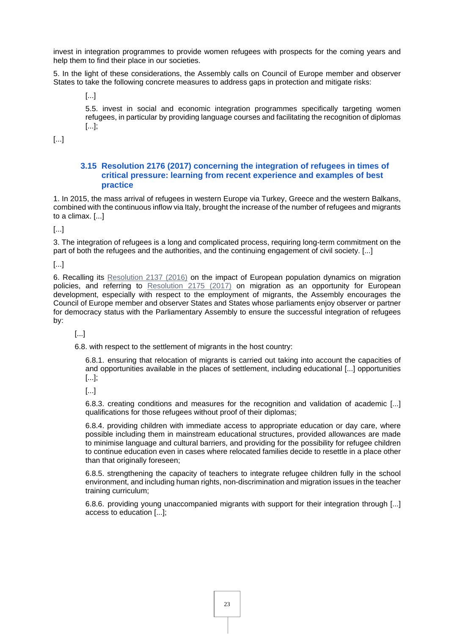invest in integration programmes to provide women refugees with prospects for the coming years and help them to find their place in our societies.

5. In the light of these considerations, the Assembly calls on Council of Europe member and observer States to take the following concrete measures to address gaps in protection and mitigate risks:

[...]

5.5. invest in social and economic integration programmes specifically targeting women refugees, in particular by providing language courses and facilitating the recognition of diplomas [...];

[...]

#### <span id="page-22-0"></span>**3.15 [Resolution 2176 \(2017\) concerning the integration of refugees in times of](http://assembly.coe.int/nw/xml/XRef/Xref-XML2HTML-en.asp?fileid=23966&lang=en)  [critical pressure: learning from recent experience and examples of best](http://assembly.coe.int/nw/xml/XRef/Xref-XML2HTML-en.asp?fileid=23966&lang=en)  [practice](http://assembly.coe.int/nw/xml/XRef/Xref-XML2HTML-en.asp?fileid=23966&lang=en)**

1. In 2015, the mass arrival of refugees in western Europe via Turkey, Greece and the western Balkans, combined with the continuous inflow via Italy, brought the increase of the number of refugees and migrants to a climax. [...]

[...]

3. The integration of refugees is a long and complicated process, requiring long-term commitment on the part of both the refugees and the authorities, and the continuing engagement of civil society. [...]

[...]

6. Recalling its [Resolution 2137 \(2016\)](http://assembly.coe.int/nw/xml/XRef/Xref-XML2HTML-en.asp?fileid=23185&lang=en) on the impact of European population dynamics on migration policies, and referring to [Resolution 2175 \(2017\)](http://assembly.coe.int/nw/xml/XRef/Xref-XML2HTML-en.asp?fileid=23965&lang=en) on migration as an opportunity for European development, especially with respect to the employment of migrants, the Assembly encourages the Council of Europe member and observer States and States whose parliaments enjoy observer or partner for democracy status with the Parliamentary Assembly to ensure the successful integration of refugees by:

[...]

6.8. with respect to the settlement of migrants in the host country:

6.8.1. ensuring that relocation of migrants is carried out taking into account the capacities of and opportunities available in the places of settlement, including educational [...] opportunities [...];

[...]

6.8.3. creating conditions and measures for the recognition and validation of academic [...] qualifications for those refugees without proof of their diplomas;

6.8.4. providing children with immediate access to appropriate education or day care, where possible including them in mainstream educational structures, provided allowances are made to minimise language and cultural barriers, and providing for the possibility for refugee children to continue education even in cases where relocated families decide to resettle in a place other than that originally foreseen:

6.8.5. strengthening the capacity of teachers to integrate refugee children fully in the school environment, and including human rights, non-discrimination and migration issues in the teacher training curriculum;

6.8.6. providing young unaccompanied migrants with support for their integration through [...] access to education [...];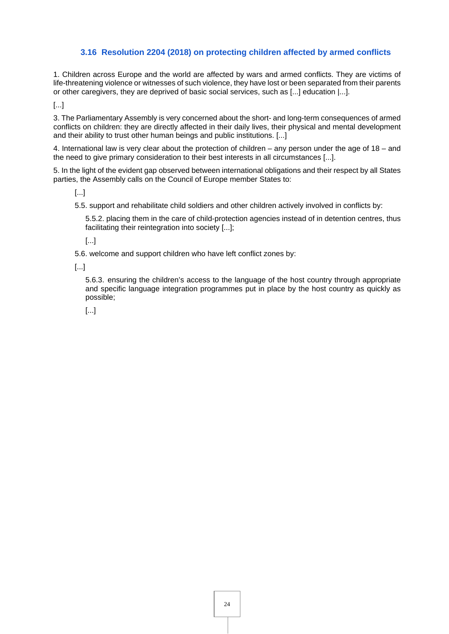# <span id="page-23-0"></span>**3.16 [Resolution 2204 \(2018\) on protecting children affected by armed conflicts](http://assembly.coe.int/nw/xml/XRef/Xref-XML2HTML-en.asp?fileid=24495&lang=en)**

1. Children across Europe and the world are affected by wars and armed conflicts. They are victims of life-threatening violence or witnesses of such violence, they have lost or been separated from their parents or other caregivers, they are deprived of basic social services, such as [...] education |...].

[...]

3. The Parliamentary Assembly is very concerned about the short- and long-term consequences of armed conflicts on children: they are directly affected in their daily lives, their physical and mental development and their ability to trust other human beings and public institutions. [...]

4. International law is very clear about the protection of children – any person under the age of 18 – and the need to give primary consideration to their best interests in all circumstances [...].

5. In the light of the evident gap observed between international obligations and their respect by all States parties, the Assembly calls on the Council of Europe member States to:

[...]

5.5. support and rehabilitate child soldiers and other children actively involved in conflicts by:

5.5.2. placing them in the care of child-protection agencies instead of in detention centres, thus facilitating their reintegration into society [...];

[...]

5.6. welcome and support children who have left conflict zones by:

[...]

5.6.3. ensuring the children's access to the language of the host country through appropriate and specific language integration programmes put in place by the host country as quickly as possible;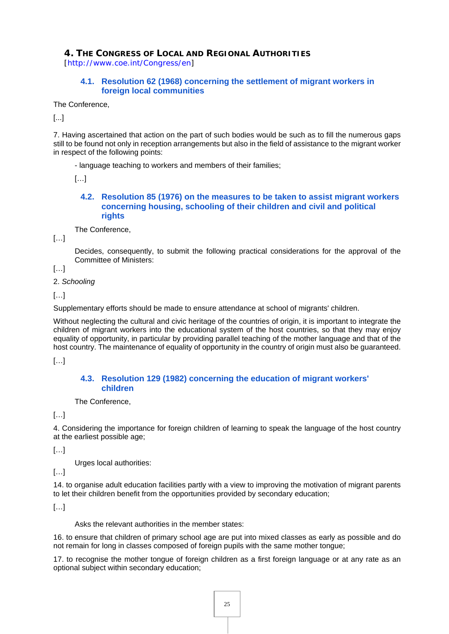<span id="page-24-0"></span>**4. THE CONGRESS OF LOCAL AND REGIONAL AUTHORITIES** [<http://www.coe.int/Congress/en>]

#### <span id="page-24-1"></span>**4.1. [Resolution 62 \(1968\) concerning the settlement of migrant workers in](https://rm.coe.int/1680718c72)  [foreign local communities](https://rm.coe.int/1680718c72)**

The Conference,

[...]

7. Having ascertained that action on the part of such bodies would be such as to fill the numerous gaps still to be found not only in reception arrangements but also in the field of assistance to the migrant worker in respect of the following points:

- language teaching to workers and members of their families;

 $[...]$ 

#### <span id="page-24-2"></span>**4.2. [Resolution 85 \(1976\) on the measures to be taken to assist migrant workers](https://rm.coe.int/168071a393)  [concerning housing, schooling of their children and civil and political](https://rm.coe.int/168071a393)  [rights](https://rm.coe.int/168071a393)**

The Conference,

 $[...]$ 

Decides, consequently, to submit the following practical considerations for the approval of the Committee of Ministers:

[…]

2. *Schooling*

[…]

Supplementary efforts should be made to ensure attendance at school of migrants' children.

Without neglecting the cultural and civic heritage of the countries of origin, it is important to integrate the children of migrant workers into the educational system of the host countries, so that they may enjoy equality of opportunity, in particular by providing parallel teaching of the mother language and that of the host country. The maintenance of equality of opportunity in the country of origin must also be guaranteed.

[…]

#### <span id="page-24-3"></span>**4.3. [Resolution 129 \(1982\) concerning the education of migrant workers'](https://rm.coe.int/168071aafd)  [children](https://rm.coe.int/168071aafd)**

The Conference,

[…]

4. Considering the importance for foreign children of learning to speak the language of the host country at the earliest possible age;

[…]

Urges local authorities:

 $[...]$ 

14. to organise adult education facilities partly with a view to improving the motivation of migrant parents to let their children benefit from the opportunities provided by secondary education;

[…]

Asks the relevant authorities in the member states:

16. to ensure that children of primary school age are put into mixed classes as early as possible and do not remain for long in classes composed of foreign pupils with the same mother tongue;

17. to recognise the mother tongue of foreign children as a first foreign language or at any rate as an optional subject within secondary education;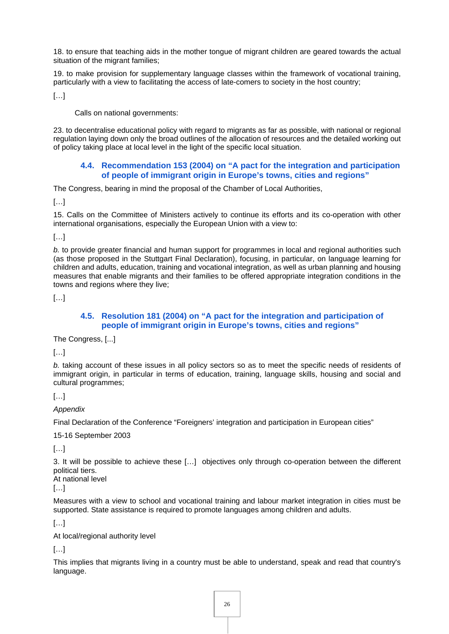18. to ensure that teaching aids in the mother tongue of migrant children are geared towards the actual situation of the migrant families;

19. to make provision for supplementary language classes within the framework of vocational training, particularly with a view to facilitating the access of late-comers to society in the host country;

 $[...]$ 

Calls on national governments:

23. to decentralise educational policy with regard to migrants as far as possible, with national or regional regulation laying down only the broad outlines of the allocation of resources and the detailed working out of policy taking place at local level in the light of the specific local situation.

#### <span id="page-25-0"></span>**4.4. [Recommendation 153 \(2004\) on "A pact for the integration and participation](https://wcd.coe.int/ViewDoc.jsp?Ref=REC(2004)153&Language=lanEnglish&Ver=original&Site=Congress&BackColorInternet=C3C3C3&BackColorIntranet=CACC9A&BackColorLogged=EFEA9C)  [of people of immigrant origin in Europe's towns, cities and regions"](https://wcd.coe.int/ViewDoc.jsp?Ref=REC(2004)153&Language=lanEnglish&Ver=original&Site=Congress&BackColorInternet=C3C3C3&BackColorIntranet=CACC9A&BackColorLogged=EFEA9C)**

The Congress, bearing in mind the proposal of the Chamber of Local Authorities,

[…]

15. Calls on the Committee of Ministers actively to continue its efforts and its co-operation with other international organisations, especially the European Union with a view to:

 $[...]$ 

*b.* to provide greater financial and human support for programmes in local and regional authorities such (as those proposed in the Stuttgart Final Declaration), focusing, in particular, on language learning for children and adults, education, training and vocational integration, as well as urban planning and housing measures that enable migrants and their families to be offered appropriate integration conditions in the towns and regions where they live;

[…]

#### <span id="page-25-1"></span>**4.5. [Resolution 181 \(2004\) on "A pact for the integration and participation of](https://rm.coe.int/0900001680719f32)  [people of immigrant origin in Europe's towns, cities and regions"](https://rm.coe.int/0900001680719f32)**

The Congress, [...]

[…]

*b.* taking account of these issues in all policy sectors so as to meet the specific needs of residents of immigrant origin, in particular in terms of education, training, language skills, housing and social and cultural programmes;

 $[\ldots]$ 

*Appendix* 

Final Declaration of the Conference "Foreigners' integration and participation in European cities"

15-16 September 2003

[…]

3. It will be possible to achieve these […] objectives only through co-operation between the different political tiers.

At national level

[…]

Measures with a view to school and vocational training and labour market integration in cities must be supported. State assistance is required to promote languages among children and adults.

[…]

At local/regional authority level

 $[...]$ 

This implies that migrants living in a country must be able to understand, speak and read that country's language.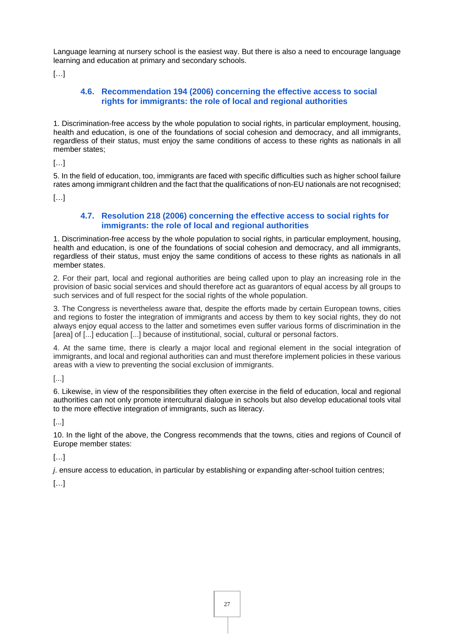Language learning at nursery school is the easiest way. But there is also a need to encourage language learning and education at primary and secondary schools.

 $[...]$ 

# <span id="page-26-0"></span>**4.6. [Recommendation 194 \(2006\) concerning the effective access to social](https://wcd.coe.int/ViewDoc.jsp?Ref=REC(2006)194&Language=lanEnglish&Ver=original&Site=Congress&BackColorInternet=C3C3C3&BackColorIntranet=CACC9A&BackColorLogged=EFEA9C)  [rights for immigrants: the role of local and regional authorities](https://wcd.coe.int/ViewDoc.jsp?Ref=REC(2006)194&Language=lanEnglish&Ver=original&Site=Congress&BackColorInternet=C3C3C3&BackColorIntranet=CACC9A&BackColorLogged=EFEA9C)**

1. Discrimination-free access by the whole population to social rights, in particular employment, housing, health and education, is one of the foundations of social cohesion and democracy, and all immigrants, regardless of their status, must enjoy the same conditions of access to these rights as nationals in all member states;

 $[...]$ 

5. In the field of education, too, immigrants are faced with specific difficulties such as higher school failure rates among immigrant children and the fact that the qualifications of non-EU nationals are not recognised;

 $[...]$ 

## <span id="page-26-1"></span>**4.7. [Resolution 218 \(2006\) concerning the effective access to social rights for](https://search.coe.int/congress/Pages/result_details.aspx?ObjectId=0900001680718e3a)  [immigrants: the role of local and regional authorities](https://search.coe.int/congress/Pages/result_details.aspx?ObjectId=0900001680718e3a)**

1. Discrimination-free access by the whole population to social rights, in particular employment, housing, health and education, is one of the foundations of social cohesion and democracy, and all immigrants, regardless of their status, must enjoy the same conditions of access to these rights as nationals in all member states.

2. For their part, local and regional authorities are being called upon to play an increasing role in the provision of basic social services and should therefore act as guarantors of equal access by all groups to such services and of full respect for the social rights of the whole population.

3. The Congress is nevertheless aware that, despite the efforts made by certain European towns, cities and regions to foster the integration of immigrants and access by them to key social rights, they do not always enjoy equal access to the latter and sometimes even suffer various forms of discrimination in the [area] of [...] education [...] because of institutional, social, cultural or personal factors.

4. At the same time, there is clearly a major local and regional element in the social integration of immigrants, and local and regional authorities can and must therefore implement policies in these various areas with a view to preventing the social exclusion of immigrants.

[...]

6. Likewise, in view of the responsibilities they often exercise in the field of education, local and regional authorities can not only promote intercultural dialogue in schools but also develop educational tools vital to the more effective integration of immigrants, such as literacy.

#### [...]

10. In the light of the above, the Congress recommends that the towns, cities and regions of Council of Europe member states:

[…]

*j*. ensure access to education, in particular by establishing or expanding after-school tuition centres;

 $[\ldots]$